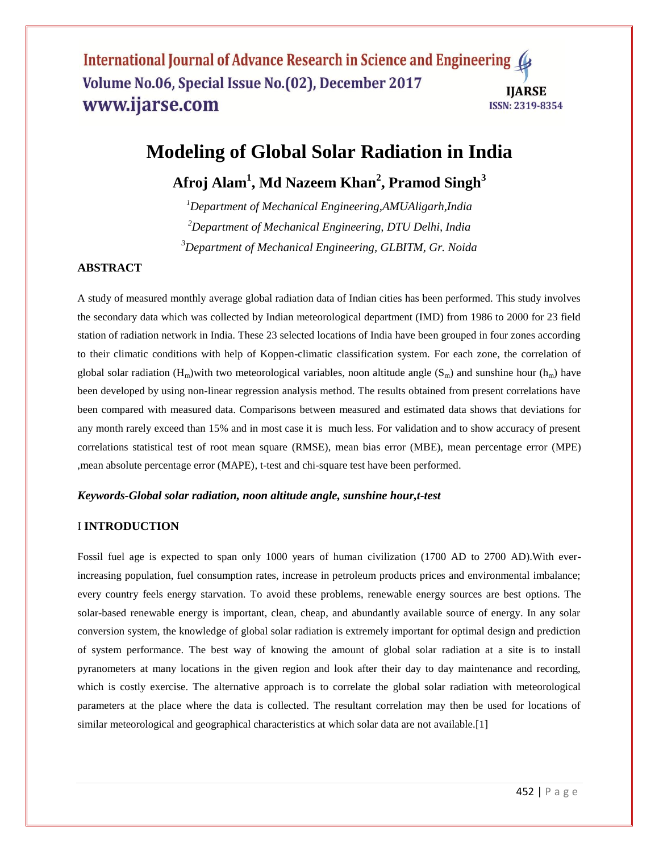## International Journal of Advance Research in Science and Engineering ( Volume No.06, Special Issue No.(02), December 2017 **IIARSE** www.ijarse.com **ISSN: 2319-8354**

# **Modeling of Global Solar Radiation in India**

## **Afroj Alam<sup>1</sup> , Md Nazeem Khan<sup>2</sup> , Pramod Singh<sup>3</sup>**

*<sup>1</sup>Department of Mechanical Engineering,AMUAligarh,India <sup>2</sup>Department of Mechanical Engineering, DTU Delhi, India <sup>3</sup>Department of Mechanical Engineering, GLBITM, Gr. Noida*

### **ABSTRACT**

A study of measured monthly average global radiation data of Indian cities has been performed. This study involves the secondary data which was collected by Indian meteorological department (IMD) from 1986 to 2000 for 23 field station of radiation network in India. These 23 selected locations of India have been grouped in four zones according to their climatic conditions with help of Koppen-climatic classification system. For each zone, the correlation of global solar radiation  $(H_m)$  with two meteorological variables, noon altitude angle  $(S_m)$  and sunshine hour  $(h_m)$  have been developed by using non-linear regression analysis method. The results obtained from present correlations have been compared with measured data. Comparisons between measured and estimated data shows that deviations for any month rarely exceed than 15% and in most case it is much less. For validation and to show accuracy of present correlations statistical test of root mean square (RMSE), mean bias error (MBE), mean percentage error (MPE) ,mean absolute percentage error (MAPE), t-test and chi-square test have been performed.

#### *Keywords-Global solar radiation, noon altitude angle, sunshine hour,t-test*

## I **INTRODUCTION**

Fossil fuel age is expected to span only 1000 years of human civilization (1700 AD to 2700 AD).With everincreasing population, fuel consumption rates, increase in petroleum products prices and environmental imbalance; every country feels energy starvation. To avoid these problems, renewable energy sources are best options. The solar-based renewable energy is important, clean, cheap, and abundantly available source of energy. In any solar conversion system, the knowledge of global solar radiation is extremely important for optimal design and prediction of system performance. The best way of knowing the amount of global solar radiation at a site is to install pyranometers at many locations in the given region and look after their day to day maintenance and recording, which is costly exercise. The alternative approach is to correlate the global solar radiation with meteorological parameters at the place where the data is collected. The resultant correlation may then be used for locations of similar meteorological and geographical characteristics at which solar data are not available.[1]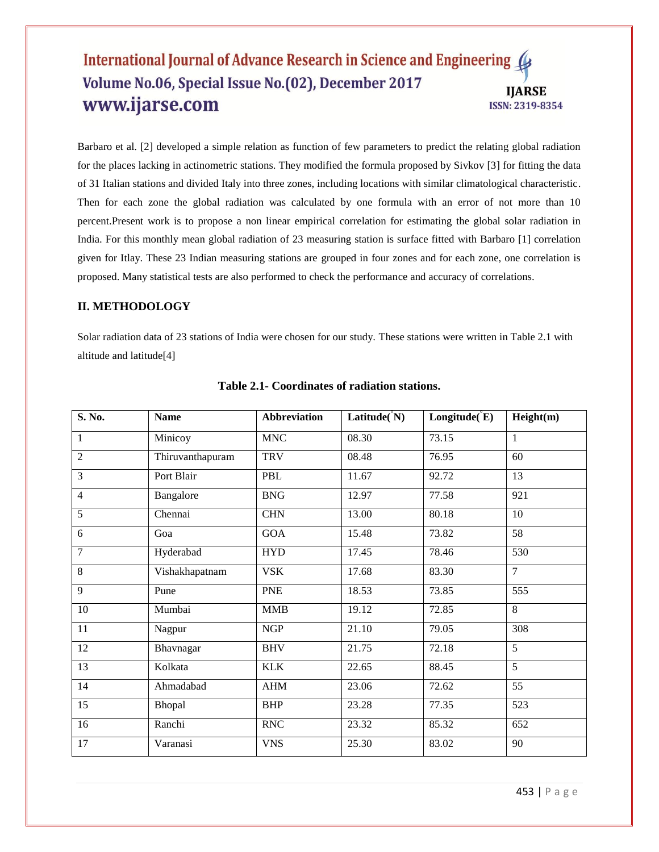## International Journal of Advance Research in Science and Engineering ( Volume No.06, Special Issue No.(02), December 2017 **IJARSE** www.ijarse.com ISSN: 2319-8354

Barbaro et al. [2] developed a simple relation as function of few parameters to predict the relating global radiation for the places lacking in actinometric stations. They modified the formula proposed by Sivkov [3] for fitting the data of 31 Italian stations and divided Italy into three zones, including locations with similar climatological characteristic. Then for each zone the global radiation was calculated by one formula with an error of not more than 10 percent.Present work is to propose a non linear empirical correlation for estimating the global solar radiation in India. For this monthly mean global radiation of 23 measuring station is surface fitted with Barbaro [1] correlation given for Itlay. These 23 Indian measuring stations are grouped in four zones and for each zone, one correlation is proposed. Many statistical tests are also performed to check the performance and accuracy of correlations.

#### **II. METHODOLOGY**

Solar radiation data of 23 stations of India were chosen for our study. These stations were written in Table 2.1 with altitude and latitude[4]

| S. No.          | <b>Name</b>      | <b>Abbreviation</b> | Latitude( $\rm \hat{}N)$ | Longitude (E) | Height(m)        |
|-----------------|------------------|---------------------|--------------------------|---------------|------------------|
| $\mathbf{1}$    | Minicoy          | <b>MNC</b>          | 08.30                    | 73.15         | $\mathbf{1}$     |
| $\overline{2}$  | Thiruvanthapuram | <b>TRV</b>          | 08.48                    | 76.95         | 60               |
| $\overline{3}$  | Port Blair       | PBL                 | 11.67                    | 92.72         | 13               |
| $\overline{4}$  | <b>Bangalore</b> | <b>BNG</b>          | 12.97                    | 77.58         | $\overline{921}$ |
| $\overline{5}$  | Chennai          | $\rm CHN$           | 13.00                    | 80.18         | $\overline{10}$  |
| 6               | Goa              | GOA                 | 15.48                    | 73.82         | $\overline{58}$  |
| $\overline{7}$  | Hyderabad        | <b>HYD</b>          | 17.45                    | 78.46         | 530              |
| $\overline{8}$  | Vishakhapatnam   | <b>VSK</b>          | 17.68                    | 83.30         | $\overline{7}$   |
| 9               | Pune             | <b>PNE</b>          | 18.53                    | 73.85         | 555              |
| $\overline{10}$ | Mumbai           | <b>MMB</b>          | 19.12                    | 72.85         | $\overline{8}$   |
| 11              | Nagpur           | NGP                 | 21.10                    | 79.05         | 308              |
| $\overline{12}$ | Bhavnagar        | <b>BHV</b>          | 21.75                    | 72.18         | $\overline{5}$   |
| 13              | Kolkata          | <b>KLK</b>          | 22.65                    | 88.45         | $\overline{5}$   |
| 14              | Ahmadabad        | AHM                 | 23.06                    | 72.62         | 55               |
| 15              | Bhopal           | <b>BHP</b>          | 23.28                    | 77.35         | 523              |
| $\overline{16}$ | Ranchi           | <b>RNC</b>          | 23.32                    | 85.32         | 652              |
| $\overline{17}$ | Varanasi         | <b>VNS</b>          | 25.30                    | 83.02         | 90               |

#### **Table 2.1- Coordinates of radiation stations.**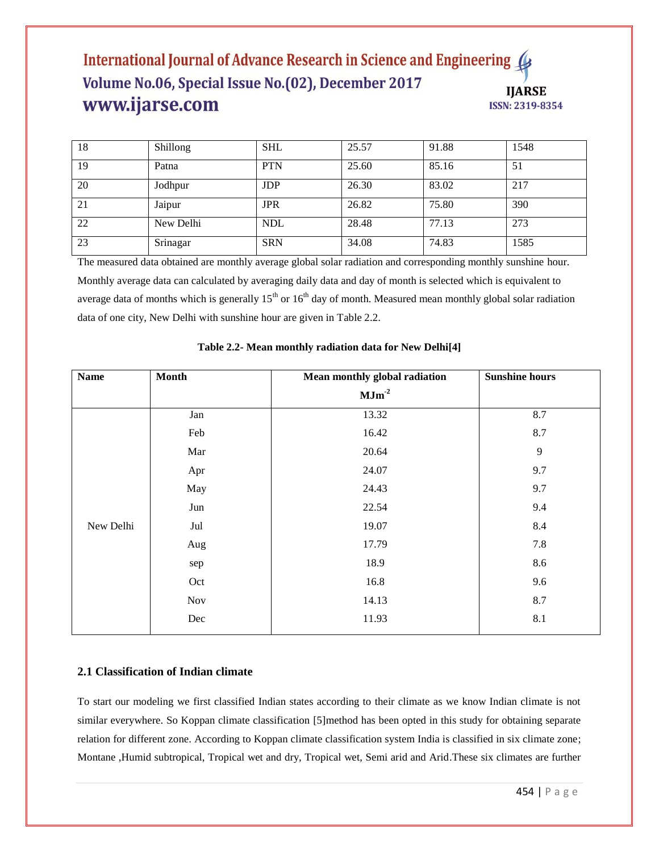## International Journal of Advance Research in Science and Engineering Volume No.06, Special Issue No.(02), December 2017 **IJARSE** www.ijarse.com ISSN: 2319-8354

| 18 | Shillong  | <b>SHL</b> | 25.57 | 91.88 | 1548 |
|----|-----------|------------|-------|-------|------|
| 19 | Patna     | <b>PTN</b> | 25.60 | 85.16 | 51   |
| 20 | Jodhpur   | <b>JDP</b> | 26.30 | 83.02 | 217  |
| 21 | Jaipur    | <b>JPR</b> | 26.82 | 75.80 | 390  |
| 22 | New Delhi | <b>NDL</b> | 28.48 | 77.13 | 273  |
| 23 | Srinagar  | <b>SRN</b> | 34.08 | 74.83 | 1585 |

The measured data obtained are monthly average global solar radiation and corresponding monthly sunshine hour. Monthly average data can calculated by averaging daily data and day of month is selected which is equivalent to average data of months which is generally  $15<sup>th</sup>$  or  $16<sup>th</sup>$  day of month. Measured mean monthly global solar radiation data of one city, New Delhi with sunshine hour are given in Table 2.2.

| <b>Name</b> | <b>Month</b>          | Mean monthly global radiation | <b>Sunshine hours</b> |
|-------------|-----------------------|-------------------------------|-----------------------|
|             |                       | $\mathbf{MJm}^2$              |                       |
|             | Jan                   | 13.32                         | 8.7                   |
|             | Feb                   | 16.42                         | 8.7                   |
|             | Mar                   | 20.64                         | 9                     |
|             | Apr                   | 24.07                         | 9.7                   |
|             | May                   | 24.43                         | 9.7                   |
|             | $\mathop{\text{Jun}}$ | 22.54                         | 9.4                   |
| New Delhi   | Jul                   | 19.07                         | 8.4                   |
|             | Aug                   | 17.79                         | 7.8                   |
|             | sep                   | 18.9                          | 8.6                   |
|             | Oct                   | 16.8                          | 9.6                   |
|             | <b>Nov</b>            | 14.13                         | 8.7                   |
|             | $\rm Dec$             | 11.93                         | 8.1                   |
|             |                       |                               |                       |

## **Table 2.2- Mean monthly radiation data for New Delhi[4]**

## **2.1 Classification of Indian climate**

To start our modeling we first classified Indian states according to their climate as we know Indian climate is not similar everywhere. So Koppan climate classification [5]method has been opted in this study for obtaining separate relation for different zone. According to Koppan climate classification system India is classified in six climate zone; Montane ,Humid subtropical, Tropical wet and dry, Tropical wet, Semi arid and Arid.These six climates are further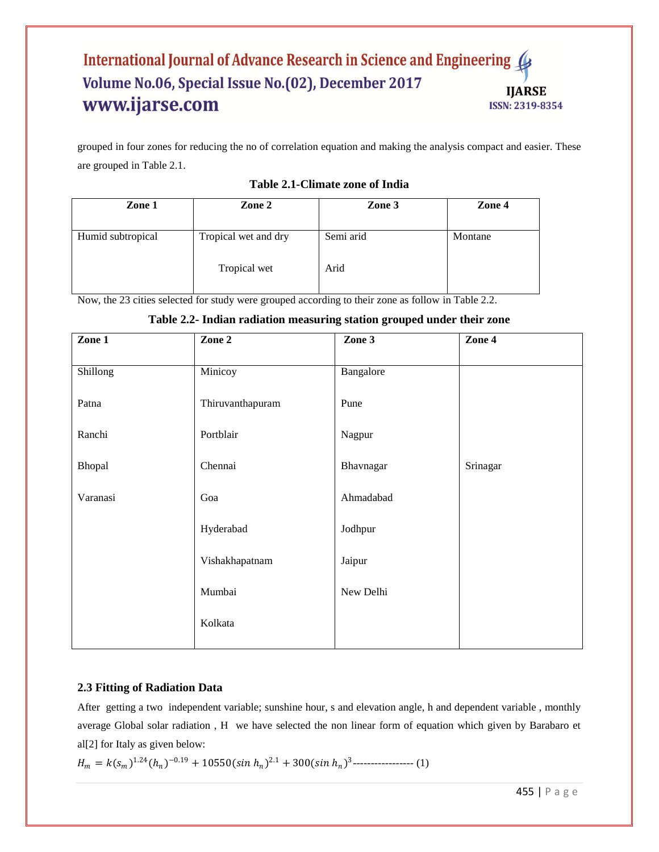## International Journal of Advance Research in Science and Engineering Volume No.06, Special Issue No.(02), December 2017 **IJARSE** www.ijarse.com ISSN: 2319-8354

grouped in four zones for reducing the no of correlation equation and making the analysis compact and easier. These are grouped in Table 2.1.

| Zone 1            | Zone 2               | Zone 3    | Zone 4  |
|-------------------|----------------------|-----------|---------|
| Humid subtropical | Tropical wet and dry | Semi arid | Montane |
|                   | Tropical wet         | Arid      |         |

## **Table 2.1-Climate zone of India**

Now, the 23 cities selected for study were grouped according to their zone as follow in Table 2.2.

| Zone 1   | Zone 2           | Zone 3    | Zone 4   |
|----------|------------------|-----------|----------|
| Shillong | Minicoy          | Bangalore |          |
| Patna    | Thiruvanthapuram | Pune      |          |
| Ranchi   | Portblair        | Nagpur    |          |
| Bhopal   | Chennai          | Bhavnagar | Srinagar |
| Varanasi | Goa              | Ahmadabad |          |
|          | Hyderabad        | Jodhpur   |          |
|          | Vishakhapatnam   | Jaipur    |          |
|          | Mumbai           | New Delhi |          |
|          | Kolkata          |           |          |
|          |                  |           |          |

## **Table 2.2- Indian radiation measuring station grouped under their zone**

## **2.3 Fitting of Radiation Data**

After getting a two independent variable; sunshine hour, s and elevation angle, h and dependent variable , monthly average Global solar radiation , H we have selected the non linear form of equation which given by Barabaro et al[2] for Italy as given below:

= 1.24(ℎ ) <sup>−</sup>0.19 +10550( ℎ ) 2.1 +300( ℎ ) 3 ----------------- (1)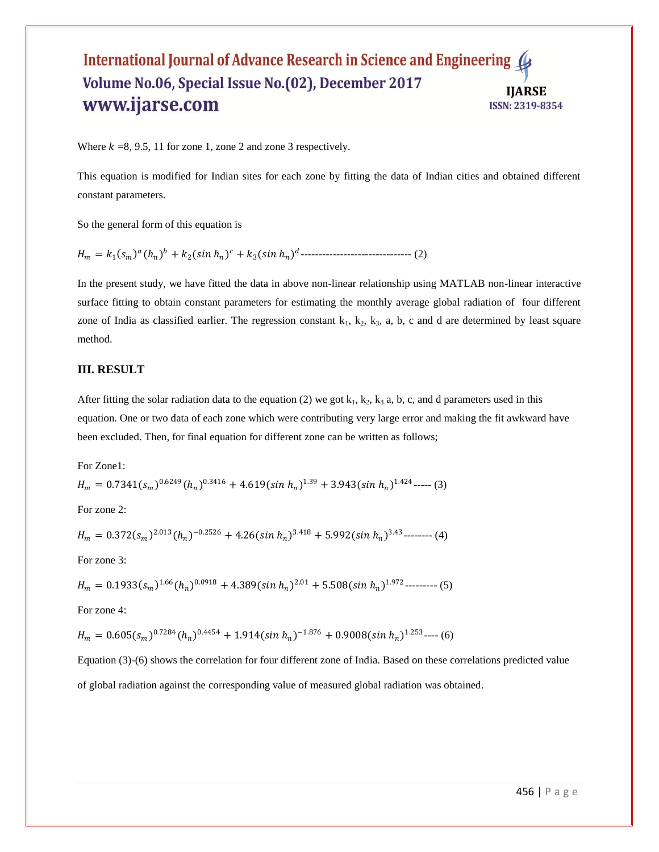### International Journal of Advance Research in Science and Engineering 4 Volume No.06, Special Issue No.(02), December 2017 **IJARSE** www.ijarse.com ISSN: 2319-8354

Where  $k = 8, 9.5, 11$  for zone 1, zone 2 and zone 3 respectively.

This equation is modified for Indian sites for each zone by fitting the data of Indian cities and obtained different constant parameters.

So the general form of this equation is

= <sup>1</sup> (ℎ ) + 2( ℎ ) +3( ℎ ) ------------------------------- (2)

In the present study, we have fitted the data in above non-linear relationship using MATLAB non-linear interactive surface fitting to obtain constant parameters for estimating the monthly average global radiation of four different zone of India as classified earlier. The regression constant  $k_1$ ,  $k_2$ ,  $k_3$ , a, b, c and d are determined by least square method.

#### **III. RESULT**

After fitting the solar radiation data to the equation (2) we got  $k_1, k_2, k_3$  a, b, c, and d parameters used in this equation. One or two data of each zone which were contributing very large error and making the fit awkward have been excluded. Then, for final equation for different zone can be written as follows;

For Zone1:

$$
H_m = 0.7341(s_m)^{0.6249} (h_n)^{0.3416} + 4.619(\sin h_n)^{1.39} + 3.943(\sin h_n)^{1.424} \dots (3)
$$

For zone 2:

$$
H_m = 0.372(s_m)^{2.013} (h_n)^{-0.2526} + 4.26(\sin h_n)^{3.418} + 5.992(\sin h_n)^{3.43}
$$
-----(4)

For zone 3:

$$
H_m = 0.1933(s_m)^{1.66} (h_n)^{0.0918} + 4.389(\sin h_n)^{2.01} + 5.508(\sin h_n)^{1.972}
$$
-----(5)

For zone 4:

$$
H_m = 0.605(s_m)^{0.7284} (h_n)^{0.4454} + 1.914(\sin h_n)^{-1.876} + 0.9008(\sin h_n)^{1.253} \cdots (6)
$$

Equation (3)-(6) shows the correlation for four different zone of India. Based on these correlations predicted value

of global radiation against the corresponding value of measured global radiation was obtained.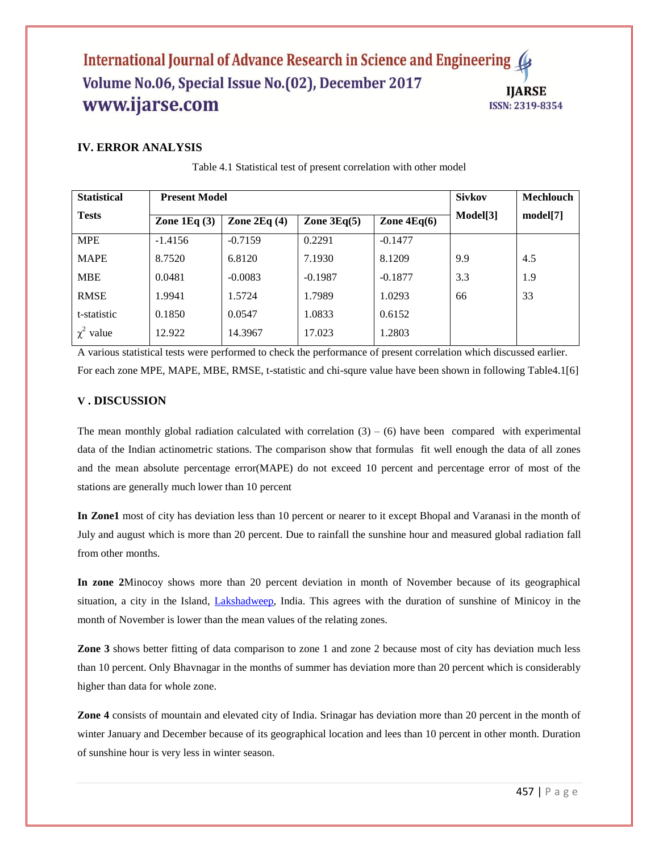## International Journal of Advance Research in Science and Engineering ( Volume No.06, Special Issue No.(02), December 2017 **IIARSE** www.ijarse.com **ISSN: 2319-8354**

## **IV. ERROR ANALYSIS**

| <b>Statistical</b> | <b>Present Model</b> |               |               |               | <b>Sivkov</b>        | Mechlouch |
|--------------------|----------------------|---------------|---------------|---------------|----------------------|-----------|
| <b>Tests</b>       | Zone $1Eq(3)$        | Zone $2Eq(4)$ | Zone $3Eq(5)$ | Zone $4Eq(6)$ | Model <sup>[3]</sup> | model[7]  |
| <b>MPE</b>         | $-1.4156$            | $-0.7159$     | 0.2291        | $-0.1477$     |                      |           |
| <b>MAPE</b>        | 8.7520               | 6.8120        | 7.1930        | 8.1209        | 9.9                  | 4.5       |
| <b>MBE</b>         | 0.0481               | $-0.0083$     | $-0.1987$     | $-0.1877$     | 3.3                  | 1.9       |
| <b>RMSE</b>        | 1.9941               | 1.5724        | 1.7989        | 1.0293        | 66                   | 33        |
| t-statistic        | 0.1850               | 0.0547        | 1.0833        | 0.6152        |                      |           |
| $\chi^2$ value     | 12.922               | 14.3967       | 17.023        | 1.2803        |                      |           |

Table 4.1 Statistical test of present correlation with other model

A various statistical tests were performed to check the performance of present correlation which discussed earlier. For each zone MPE, MAPE, MBE, RMSE, t-statistic and chi-squre value have been shown in following Table4.1[6]

#### **V . DISCUSSION**

The mean monthly global radiation calculated with correlation  $(3) - (6)$  have been compared with experimental data of the Indian actinometric stations. The comparison show that formulas fit well enough the data of all zones and the mean absolute percentage error(MAPE) do not exceed 10 percent and percentage error of most of the stations are generally much lower than 10 percent

**In Zone1** most of city has deviation less than 10 percent or nearer to it except Bhopal and Varanasi in the month of July and august which is more than 20 percent. Due to rainfall the sunshine hour and measured global radiation fall from other months.

**In zone 2**Minocoy shows more than 20 percent deviation in month of November because of its geographical situation, a city in the Island, [Lakshadweep,](http://en.wikipedia.org/wiki/Lakshadweep) India. This agrees with the duration of sunshine of Minicoy in the month of November is lower than the mean values of the relating zones.

**Zone 3** shows better fitting of data comparison to zone 1 and zone 2 because most of city has deviation much less than 10 percent. Only Bhavnagar in the months of summer has deviation more than 20 percent which is considerably higher than data for whole zone.

**Zone 4** consists of mountain and elevated city of India. Srinagar has deviation more than 20 percent in the month of winter January and December because of its geographical location and lees than 10 percent in other month. Duration of sunshine hour is very less in winter season.